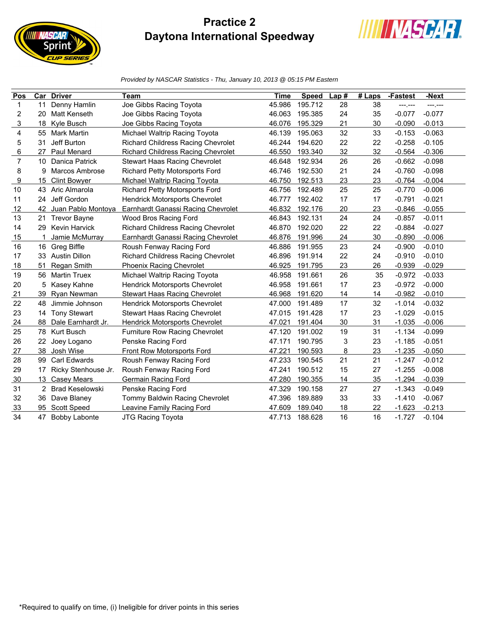## **Practice 2 Daytona International Speedway**

**IIIII NASCAR** 

print





| Pos                     |    | <b>Car Driver</b>      | Team                                      | <b>Time</b> | <b>Speed</b> | Lap# | $#$ Laps | -Fastest | -Next    |
|-------------------------|----|------------------------|-------------------------------------------|-------------|--------------|------|----------|----------|----------|
| 1                       | 11 | Denny Hamlin           | Joe Gibbs Racing Toyota                   | 45.986      | 195.712      | 28   | 38       | -------  | ---.---  |
| $\overline{\mathbf{c}}$ | 20 | Matt Kenseth           | Joe Gibbs Racing Toyota                   | 46.063      | 195.385      | 24   | 35       | $-0.077$ | $-0.077$ |
| 3                       | 18 | Kyle Busch             | Joe Gibbs Racing Toyota                   | 46.076      | 195.329      | 21   | 30       | $-0.090$ | $-0.013$ |
| 4                       | 55 | <b>Mark Martin</b>     | Michael Waltrip Racing Toyota             | 46.139      | 195.063      | 32   | 33       | $-0.153$ | $-0.063$ |
| 5                       | 31 | Jeff Burton            | <b>Richard Childress Racing Chevrolet</b> | 46.244      | 194.620      | 22   | 22       | $-0.258$ | $-0.105$ |
| 6                       | 27 | Paul Menard            | <b>Richard Childress Racing Chevrolet</b> | 46.550      | 193.340      | 32   | 32       | $-0.564$ | $-0.306$ |
| $\overline{7}$          | 10 | Danica Patrick         | Stewart Haas Racing Chevrolet             | 46.648      | 192.934      | 26   | 26       | $-0.662$ | $-0.098$ |
| 8                       | 9  | Marcos Ambrose         | Richard Petty Motorsports Ford            | 46.746      | 192.530      | 21   | 24       | $-0.760$ | $-0.098$ |
| 9                       | 15 | <b>Clint Bowyer</b>    | Michael Waltrip Racing Toyota             | 46.750      | 192.513      | 23   | 23       | $-0.764$ | $-0.004$ |
| 10                      | 43 | Aric Almarola          | <b>Richard Petty Motorsports Ford</b>     | 46.756      | 192.489      | 25   | 25       | $-0.770$ | $-0.006$ |
| 11                      | 24 | Jeff Gordon            | <b>Hendrick Motorsports Chevrolet</b>     | 46.777      | 192.402      | 17   | 17       | $-0.791$ | $-0.021$ |
| 12                      | 42 | Juan Pablo Montoya     | Earnhardt Ganassi Racing Chevrolet        | 46.832      | 192.176      | 20   | 23       | $-0.846$ | $-0.055$ |
| 13                      |    | 21 Trevor Bayne        | Wood Bros Racing Ford                     | 46.843      | 192.131      | 24   | 24       | $-0.857$ | $-0.011$ |
| 14                      | 29 | <b>Kevin Harvick</b>   | Richard Childress Racing Chevrolet        | 46.870      | 192.020      | 22   | 22       | $-0.884$ | $-0.027$ |
| 15                      |    | Jamie McMurray         | Earnhardt Ganassi Racing Chevrolet        | 46.876      | 191.996      | 24   | 30       | $-0.890$ | $-0.006$ |
| 16                      | 16 | Greg Biffle            | Roush Fenway Racing Ford                  | 46.886      | 191.955      | 23   | 24       | $-0.900$ | $-0.010$ |
| 17                      | 33 | <b>Austin Dillon</b>   | <b>Richard Childress Racing Chevrolet</b> | 46.896      | 191.914      | 22   | 24       | $-0.910$ | $-0.010$ |
| 18                      | 51 | Regan Smith            | <b>Phoenix Racing Chevrolet</b>           | 46.925      | 191.795      | 23   | 26       | $-0.939$ | $-0.029$ |
| 19                      | 56 | <b>Martin Truex</b>    | Michael Waltrip Racing Toyota             | 46.958      | 191.661      | 26   | 35       | $-0.972$ | $-0.033$ |
| 20                      | 5  | Kasey Kahne            | <b>Hendrick Motorsports Chevrolet</b>     | 46.958      | 191.661      | 17   | 23       | $-0.972$ | $-0.000$ |
| 21                      | 39 | <b>Ryan Newman</b>     | <b>Stewart Haas Racing Chevrolet</b>      | 46.968      | 191.620      | 14   | 14       | $-0.982$ | $-0.010$ |
| 22                      | 48 | Jimmie Johnson         | Hendrick Motorsports Chevrolet            | 47.000      | 191.489      | 17   | 32       | $-1.014$ | $-0.032$ |
| 23                      | 14 | <b>Tony Stewart</b>    | Stewart Haas Racing Chevrolet             | 47.015      | 191.428      | 17   | 23       | $-1.029$ | $-0.015$ |
| 24                      | 88 | Dale Earnhardt Jr.     | <b>Hendrick Motorsports Chevrolet</b>     | 47.021      | 191.404      | 30   | 31       | $-1.035$ | $-0.006$ |
| 25                      | 78 | Kurt Busch             | Furniture Row Racing Chevrolet            | 47.120      | 191.002      | 19   | 31       | $-1.134$ | $-0.099$ |
| 26                      | 22 | Joey Logano            | Penske Racing Ford                        | 47.171      | 190.795      | 3    | 23       | $-1.185$ | $-0.051$ |
| 27                      |    | 38 Josh Wise           | Front Row Motorsports Ford                | 47.221      | 190.593      | 8    | 23       | $-1.235$ | $-0.050$ |
| 28                      | 99 | Carl Edwards           | Roush Fenway Racing Ford                  | 47.233      | 190.545      | 21   | 21       | $-1.247$ | $-0.012$ |
| 29                      | 17 | Ricky Stenhouse Jr.    | Roush Fenway Racing Ford                  | 47.241      | 190.512      | 15   | 27       | $-1.255$ | $-0.008$ |
| 30                      | 13 | Casey Mears            | Germain Racing Ford                       | 47.280      | 190.355      | 14   | 35       | $-1.294$ | $-0.039$ |
| 31                      | 2  | <b>Brad Keselowski</b> | Penske Racing Ford                        | 47.329      | 190.158      | 27   | 27       | $-1.343$ | $-0.049$ |
| 32                      | 36 | Dave Blaney            | Tommy Baldwin Racing Chevrolet            | 47.396      | 189.889      | 33   | 33       | $-1.410$ | $-0.067$ |
| 33                      |    | 95 Scott Speed         | Leavine Family Racing Ford                | 47.609      | 189.040      | 18   | 22       | $-1.623$ | $-0.213$ |
| 34                      | 47 | <b>Bobby Labonte</b>   | JTG Racing Toyota                         | 47.713      | 188.628      | 16   | 16       | $-1.727$ | $-0.104$ |